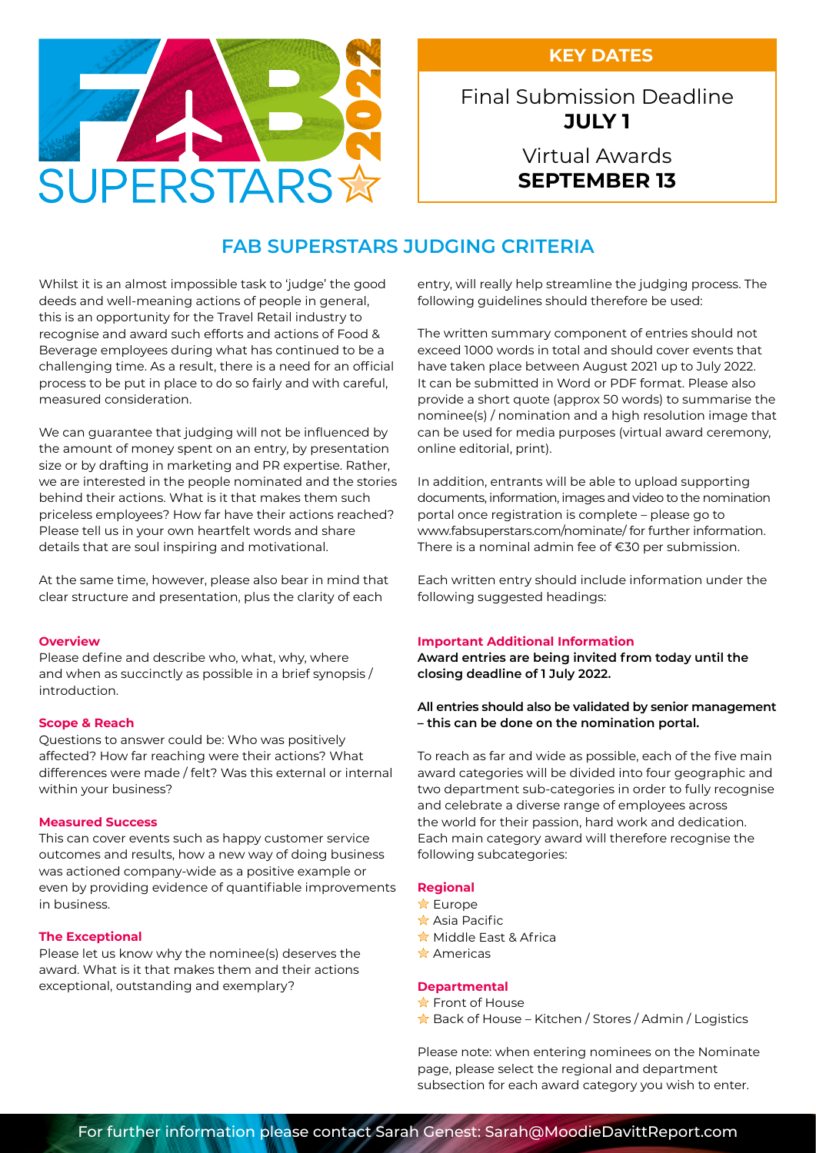**KEY DATES**



Final Submission Deadline **JULY 1** Virtual Awards

**SEPTEMBER 13**

# **FAB SUPERSTARS JUDGING CRITERIA**

Whilst it is an almost impossible task to 'judge' the good deeds and well-meaning actions of people in general, this is an opportunity for the Travel Retail industry to recognise and award such efforts and actions of Food & Beverage employees during what has continued to be a challenging time. As a result, there is a need for an official process to be put in place to do so fairly and with careful, measured consideration.

We can guarantee that judging will not be influenced by the amount of money spent on an entry, by presentation size or by drafting in marketing and PR expertise. Rather, we are interested in the people nominated and the stories behind their actions. What is it that makes them such priceless employees? How far have their actions reached? Please tell us in your own heartfelt words and share details that are soul inspiring and motivational.

At the same time, however, please also bear in mind that clear structure and presentation, plus the clarity of each

#### **Overview**

Please define and describe who, what, why, where and when as succinctly as possible in a brief synopsis / introduction.

#### **Scope & Reach**

Questions to answer could be: Who was positively affected? How far reaching were their actions? What differences were made / felt? Was this external or internal within your business?

#### **Measured Success**

This can cover events such as happy customer service outcomes and results, how a new way of doing business was actioned company-wide as a positive example or even by providing evidence of quantifiable improvements in business.

#### **The Exceptional**

Please let us know why the nominee(s) deserves the award. What is it that makes them and their actions exceptional, outstanding and exemplary?

entry, will really help streamline the judging process. The following guidelines should therefore be used:

The written summary component of entries should not exceed 1000 words in total and should cover events that have taken place between August 2021 up to July 2022. It can be submitted in Word or PDF format. Please also provide a short quote (approx 50 words) to summarise the nominee(s) / nomination and a high resolution image that can be used for media purposes (virtual award ceremony, online editorial, print).

In addition, entrants will be able to upload supporting documents, information, images and video to the nomination portal once registration is complete – please go to www.fabsuperstars.com/nominate/ for further information. There is a nominal admin fee of €30 per submission.

Each written entry should include information under the following suggested headings:

#### **Important Additional Information**

**Award entries are being invited from today until the closing deadline of 1 July 2022.**

**All entries should also be validated by senior management – this can be done on the nomination portal.**

To reach as far and wide as possible, each of the five main award categories will be divided into four geographic and two department sub-categories in order to fully recognise and celebrate a diverse range of employees across the world for their passion, hard work and dedication. Each main category award will therefore recognise the following subcategories:

#### **Regional**

- **含 Europe**
- **Asia Pacific**
- **★** Middle East & Africa
- **★** Americas

#### **Departmental**

**★** Front of House

★ Back of House – Kitchen / Stores / Admin / Logistics

Please note: when entering nominees on the Nominate page, please select the regional and department subsection for each award category you wish to enter.